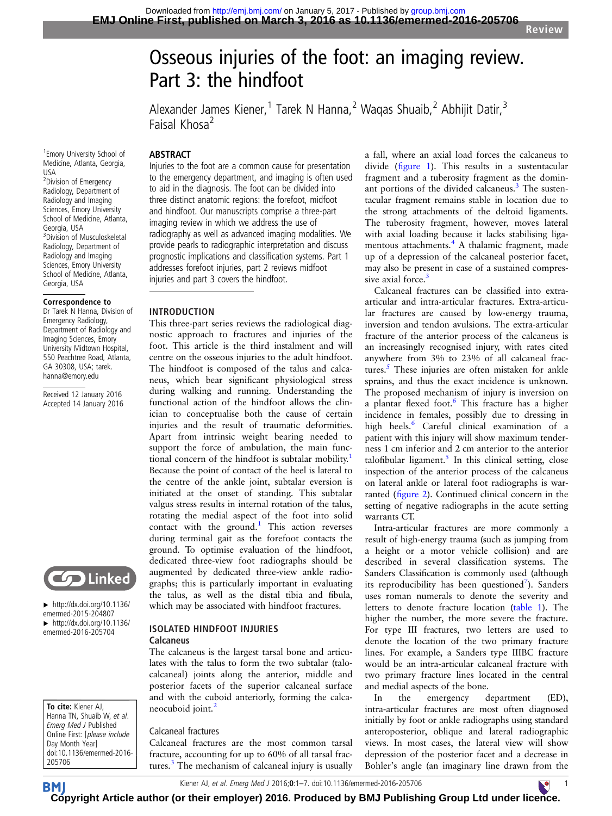# Osseous injuries of the foot: an imaging review. Part 3: the hindfoot

Alexander James Kiener,<sup>1</sup> Tarek N Hanna,<sup>2</sup> Waqas Shuaib,<sup>2</sup> Abhijit Datir,<sup>3</sup> Faisal Khosa<sup>2</sup>

# ABSTRACT

1 Emory University School of Medicine, Atlanta, Georgia, USA <sup>2</sup> Division of Emergency Radiology, Department of Radiology and Imaging Sciences, Emory University School of Medicine, Atlanta, Georgia, USA 3 Division of Musculoskeletal Radiology, Department of Radiology and Imaging Sciences, Emory University School of Medicine, Atlanta, Georgia, USA

#### Correspondence to

Dr Tarek N Hanna, Division of Emergency Radiology, Department of Radiology and Imaging Sciences, Emory University Midtown Hospital, 550 Peachtree Road, Atlanta, GA 30308, USA; tarek. hanna@emory.edu

Received 12 January 2016 Accepted 14 January 2016



 $\blacktriangleright$  [http://dx.doi.org/10.1136/](http://dx.doi.org/10.1136/emermed-2015-204807) [emermed-2015-204807](http://dx.doi.org/10.1136/emermed-2015-204807)  $\blacktriangleright$  [http://dx.doi.org/10.1136/](http://dx.doi.org/10.1136/emermed-2016-205704) [emermed-2016-205704](http://dx.doi.org/10.1136/emermed-2016-205704)

To cite: Kiener AJ, Hanna TN, Shuaib W, et al. Emerg Med J Published Online First: [please include Day Month Year] doi:10.1136/emermed-2016- 205706

# Injuries to the foot are a common cause for presentation to the emergency department, and imaging is often used to aid in the diagnosis. The foot can be divided into three distinct anatomic regions: the forefoot, midfoot and hindfoot. Our manuscripts comprise a three-part imaging review in which we address the use of radiography as well as advanced imaging modalities. We provide pearls to radiographic interpretation and discuss prognostic implications and classification systems. Part 1 addresses forefoot injuries, part 2 reviews midfoot injuries and part 3 covers the hindfoot.

# INTRODUCTION

This three-part series reviews the radiological diagnostic approach to fractures and injuries of the foot. This article is the third instalment and will centre on the osseous injuries to the adult hindfoot. The hindfoot is composed of the talus and calcaneus, which bear significant physiological stress during walking and running. Understanding the functional action of the hindfoot allows the clinician to conceptualise both the cause of certain injuries and the result of traumatic deformities. Apart from intrinsic weight bearing needed to support the force of ambulation, the main func-tional concern of the hindfoot is subtalar mobility.<sup>[1](#page-6-0)</sup> Because the point of contact of the heel is lateral to the centre of the ankle joint, subtalar eversion is initiated at the onset of standing. This subtalar valgus stress results in internal rotation of the talus, rotating the medial aspect of the foot into solid contact with the ground.<sup>[1](#page-6-0)</sup> This action reverses during terminal gait as the forefoot contacts the ground. To optimise evaluation of the hindfoot, dedicated three-view foot radiographs should be augmented by dedicated three-view ankle radiographs; this is particularly important in evaluating the talus, as well as the distal tibia and fibula, which may be associated with hindfoot fractures.

#### ISOLATED HINDFOOT INJURIES Calcaneus

The calcaneus is the largest tarsal bone and articulates with the talus to form the two subtalar (talocalcaneal) joints along the anterior, middle and posterior facets of the superior calcaneal surface and with the cuboid anteriorly, forming the calca-neocuboid joint.<sup>[2](#page-6-0)</sup>

# Calcaneal fractures

Calcaneal fractures are the most common tarsal fracture, accounting for up to 60% of all tarsal fractures. $3$  The mechanism of calcaneal injury is usually

a fall, where an axial load forces the calcaneus to divide (fi[gure 1\)](#page-1-0). This results in a sustentacular fragment and a tuberosity fragment as the domin-ant portions of the divided calcaneus.<sup>[3](#page-6-0)</sup> The sustentacular fragment remains stable in location due to the strong attachments of the deltoid ligaments. The tuberosity fragment, however, moves lateral with axial loading because it lacks stabilising liga-mentous attachments.<sup>[4](#page-6-0)</sup> A thalamic fragment, made up of a depression of the calcaneal posterior facet, may also be present in case of a sustained compres-sive axial force.<sup>[3](#page-6-0)</sup>

Calcaneal fractures can be classified into extraarticular and intra-articular fractures. Extra-articular fractures are caused by low-energy trauma, inversion and tendon avulsions. The extra-articular fracture of the anterior process of the calcaneus is an increasingly recognised injury, with rates cited anywhere from 3% to 23% of all calcaneal fractures. $\frac{5}{1}$  These injuries are often mistaken for ankle sprains, and thus the exact incidence is unknown. The proposed mechanism of injury is inversion on a plantar flexed foot.<sup>[6](#page-6-0)</sup> This fracture has a higher incidence in females, possibly due to dressing in high heels.<sup>[6](#page-6-0)</sup> Careful clinical examination of a patient with this injury will show maximum tenderness 1 cm inferior and 2 cm anterior to the anterior talofibular ligament.<sup>[5](#page-6-0)</sup> In this clinical setting, close inspection of the anterior process of the calcaneus on lateral ankle or lateral foot radiographs is warranted (fi[gure 2\)](#page-1-0). Continued clinical concern in the setting of negative radiographs in the acute setting warrants CT.

Intra-articular fractures are more commonly a result of high-energy trauma (such as jumping from a height or a motor vehicle collision) and are described in several classification systems. The Sanders Classification is commonly used (although its reproducibility has been questioned<sup>7</sup>). Sanders uses roman numerals to denote the severity and letters to denote fracture location ([table 1\)](#page-2-0). The higher the number, the more severe the fracture. For type III fractures, two letters are used to denote the location of the two primary fracture lines. For example, a Sanders type IIIBC fracture would be an intra-articular calcaneal fracture with two primary fracture lines located in the central and medial aspects of the bone.

In the emergency department (ED), intra-articular fractures are most often diagnosed initially by foot or ankle radiographs using standard anteroposterior, oblique and lateral radiographic views. In most cases, the lateral view will show depression of the posterior facet and a decrease in Bohler's angle (an imaginary line drawn from the

**BM** 

**[Cop](http://emj.bmj.com)yright Article author (or their employer) 2016. Produced by BMJ Publishing Group Ltd under lic[enc](http://www.collemergencymed.ac.uk/)e.**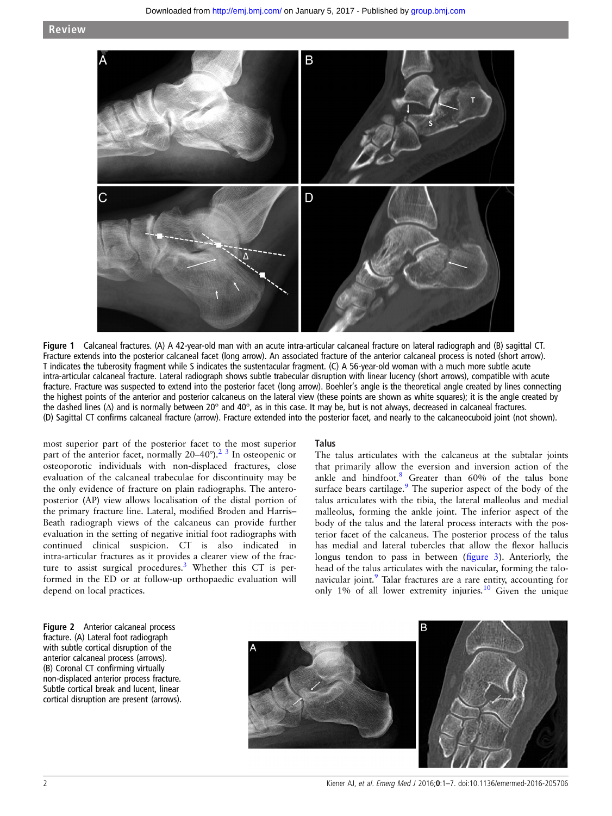<span id="page-1-0"></span>

Figure 1 Calcaneal fractures. (A) A 42-year-old man with an acute intra-articular calcaneal fracture on lateral radiograph and (B) sagittal CT. Fracture extends into the posterior calcaneal facet (long arrow). An associated fracture of the anterior calcaneal process is noted (short arrow). T indicates the tuberosity fragment while S indicates the sustentacular fragment. (C) A 56-year-old woman with a much more subtle acute intra-articular calcaneal fracture. Lateral radiograph shows subtle trabecular disruption with linear lucency (short arrows), compatible with acute fracture. Fracture was suspected to extend into the posterior facet (long arrow). Boehler's angle is the theoretical angle created by lines connecting the highest points of the anterior and posterior calcaneus on the lateral view (these points are shown as white squares); it is the angle created by the dashed lines ( $Δ$ ) and is normally between  $20^{\circ}$  and  $40^{\circ}$ , as in this case. It may be, but is not always, decreased in calcaneal fractures. (D) Sagittal CT confirms calcaneal fracture (arrow). Fracture extended into the posterior facet, and nearly to the calcaneocuboid joint (not shown).

most superior part of the posterior facet to the most superior part of the anterior facet, normally  $20-40^{\circ}$ ).<sup>2</sup> <sup>3</sup> In osteopenic or osteoporotic individuals with non-displaced fractures, close evaluation of the calcaneal trabeculae for discontinuity may be the only evidence of fracture on plain radiographs. The anteroposterior (AP) view allows localisation of the distal portion of the primary fracture line. Lateral, modified Broden and Harris– Beath radiograph views of the calcaneus can provide further evaluation in the setting of negative initial foot radiographs with continued clinical suspicion. CT is also indicated in intra-articular fractures as it provides a clearer view of the fracture to assist surgical procedures. $3$  Whether this CT is performed in the ED or at follow-up orthopaedic evaluation will depend on local practices.

#### Talus

The talus articulates with the calcaneus at the subtalar joints that primarily allow the eversion and inversion action of the ankle and hindfoot.<sup>8</sup> Greater than 60% of the talus bone surface bears cartilage.<sup>[9](#page-6-0)</sup> The superior aspect of the body of the talus articulates with the tibia, the lateral malleolus and medial malleolus, forming the ankle joint. The inferior aspect of the body of the talus and the lateral process interacts with the posterior facet of the calcaneus. The posterior process of the talus has medial and lateral tubercles that allow the flexor hallucis longus tendon to pass in between (fi[gure 3\)](#page-2-0). Anteriorly, the head of the talus articulates with the navicular, forming the talonavicular joint.<sup>9</sup> Talar fractures are a rare entity, accounting for only 1% of all lower extremity injuries.<sup>[10](#page-6-0)</sup> Given the unique

Figure 2 Anterior calcaneal process fracture. (A) Lateral foot radiograph with subtle cortical disruption of the anterior calcaneal process (arrows). (B) Coronal CT confirming virtually non-displaced anterior process fracture. Subtle cortical break and lucent, linear cortical disruption are present (arrows).



2 Kiener AJ, et al. Emerg Med J 2016;0:1–7. doi:10.1136/emermed-2016-205706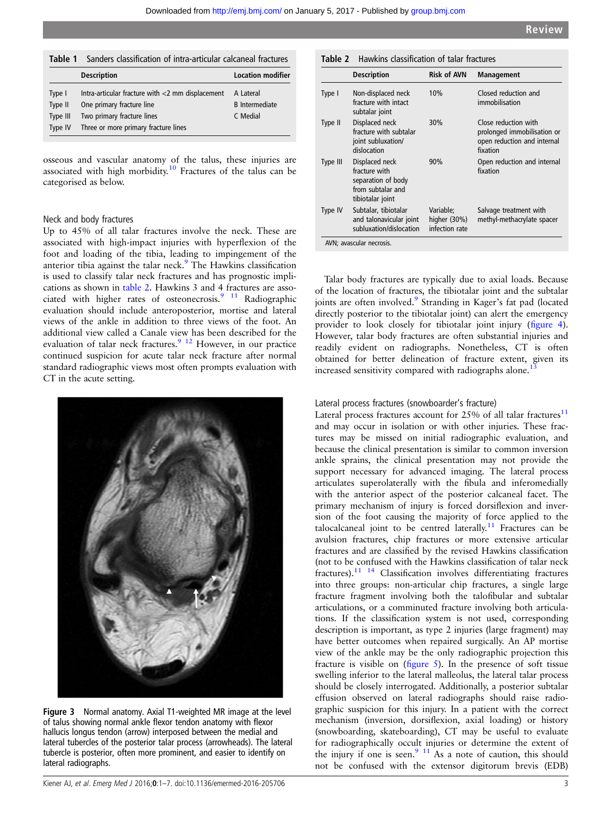<span id="page-2-0"></span>Table 1 Sanders classification of intra-articular calcaneal fractures

|          | <b>Description</b>                                  | <b>Location modifier</b> |
|----------|-----------------------------------------------------|--------------------------|
| Type I   | Intra-articular fracture with $<$ 2 mm displacement | A Lateral                |
| Type II  | One primary fracture line                           | <b>B</b> Intermediate    |
| Type III | Two primary fracture lines                          | C Medial                 |
| Type IV  | Three or more primary fracture lines                |                          |

osseous and vascular anatomy of the talus, these injuries are associated with high morbidity.<sup>[10](#page-6-0)</sup> Fractures of the talus can be categorised as below.

# Neck and body fractures

Up to 45% of all talar fractures involve the neck. These are associated with high-impact injuries with hyperflexion of the foot and loading of the tibia, leading to impingement of the anterior tibia against the talar neck.[9](#page-6-0) The Hawkins classification is used to classify talar neck fractures and has prognostic implications as shown in table 2. Hawkins 3 and 4 fractures are associated with higher rates of osteonecrosis. $9<sup>11</sup>$  Radiographic evaluation should include anteroposterior, mortise and lateral views of the ankle in addition to three views of the foot. An additional view called a Canale view has been described for the evaluation of talar neck fractures.<sup>9</sup> <sup>12</sup> However, in our practice continued suspicion for acute talar neck fracture after normal standard radiographic views most often prompts evaluation with CT in the acute setting.



Figure 3 Normal anatomy. Axial T1-weighted MR image at the level of talus showing normal ankle flexor tendon anatomy with flexor hallucis longus tendon (arrow) interposed between the medial and lateral tubercles of the posterior talar process (arrowheads). The lateral tubercle is posterior, often more prominent, and easier to identify on lateral radiographs.

#### Table 2 Hawkins classification of talar fractures

|          | <b>Description</b>                                                                             | <b>Risk of AVN</b>                          | <b>Management</b>                                                                              |
|----------|------------------------------------------------------------------------------------------------|---------------------------------------------|------------------------------------------------------------------------------------------------|
| Type I   | Non-displaced neck<br>fracture with intact<br>subtalar joint                                   | 10%                                         | Closed reduction and<br>immobilisation                                                         |
| Type II  | Displaced neck<br>fracture with subtalar<br>joint subluxation/<br>dislocation                  | 30%                                         | Close reduction with<br>prolonged immobilisation or<br>open reduction and internal<br>fixation |
| Type III | Displaced neck<br>fracture with<br>separation of body<br>from subtalar and<br>tibiotalar joint | 90%                                         | Open reduction and internal<br>fixation                                                        |
| Type IV  | Subtalar, tibiotalar<br>and talonavicular joint<br>subluxation/dislocation                     | Variable:<br>higher (30%)<br>infection rate | Salvage treatment with<br>methyl-methacrylate spacer                                           |

Talar body fractures are typically due to axial loads. Because of the location of fractures, the tibiotalar joint and the subtalar joints are often involved.<sup>9</sup> Stranding in Kager's fat pad (located directly posterior to the tibiotalar joint) can alert the emergency provider to look closely for tibiotalar joint injury (fi[gure 4\)](#page-3-0). However, talar body fractures are often substantial injuries and readily evident on radiographs. Nonetheless, CT is often obtained for better delineation of fracture extent, given its increased sensitivity compared with radiographs alone.

#### Lateral process fractures (snowboarder's fracture)

Lateral process fractures account for  $25\%$  of all talar fractures<sup>[11](#page-6-0)</sup> and may occur in isolation or with other injuries. These fractures may be missed on initial radiographic evaluation, and because the clinical presentation is similar to common inversion ankle sprains, the clinical presentation may not provide the support necessary for advanced imaging. The lateral process articulates superolaterally with the fibula and inferomedially with the anterior aspect of the posterior calcaneal facet. The primary mechanism of injury is forced dorsiflexion and inversion of the foot causing the majority of force applied to the talocalcaneal joint to be centred laterally.<sup>[11](#page-6-0)</sup> Fractures can be avulsion fractures, chip fractures or more extensive articular fractures and are classified by the revised Hawkins classification (not to be confused with the Hawkins classification of talar neck fractures).[11 14](#page-6-0) Classification involves differentiating fractures into three groups: non-articular chip fractures, a single large fracture fragment involving both the talofibular and subtalar articulations, or a comminuted fracture involving both articulations. If the classification system is not used, corresponding description is important, as type 2 injuries (large fragment) may have better outcomes when repaired surgically. An AP mortise view of the ankle may be the only radiographic projection this fracture is visible on (fi[gure 5\)](#page-3-0). In the presence of soft tissue swelling inferior to the lateral malleolus, the lateral talar process should be closely interrogated. Additionally, a posterior subtalar effusion observed on lateral radiographs should raise radiographic suspicion for this injury. In a patient with the correct mechanism (inversion, dorsiflexion, axial loading) or history (snowboarding, skateboarding), CT may be useful to evaluate for radiographically occult injuries or determine the extent of the injury if one is seen.<sup>[9 11](#page-6-0)</sup> As a note of caution, this should not be confused with the extensor digitorum brevis (EDB)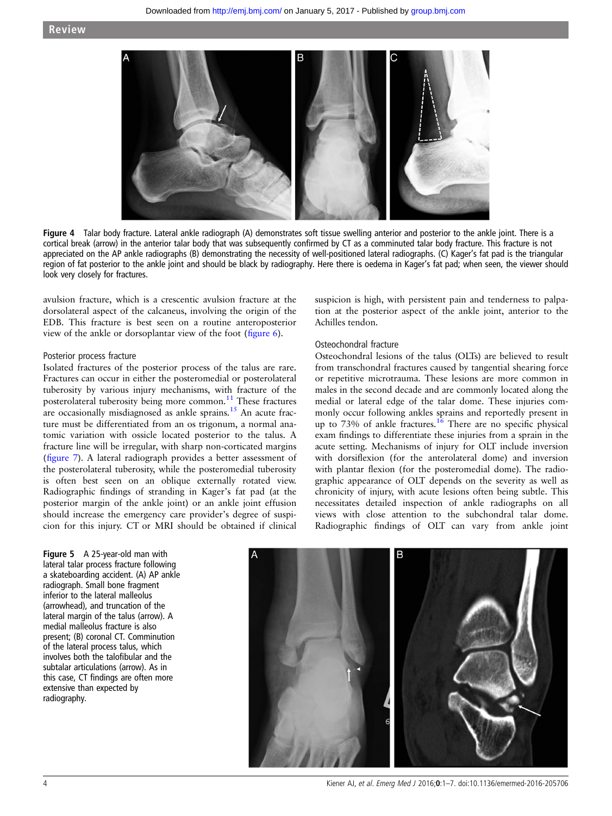<span id="page-3-0"></span>

Figure 4 Talar body fracture. Lateral ankle radiograph (A) demonstrates soft tissue swelling anterior and posterior to the ankle joint. There is a cortical break (arrow) in the anterior talar body that was subsequently confirmed by CT as a comminuted talar body fracture. This fracture is not appreciated on the AP ankle radiographs (B) demonstrating the necessity of well-positioned lateral radiographs. (C) Kager's fat pad is the triangular region of fat posterior to the ankle joint and should be black by radiography. Here there is oedema in Kager's fat pad; when seen, the viewer should look very closely for fractures.

avulsion fracture, which is a crescentic avulsion fracture at the dorsolateral aspect of the calcaneus, involving the origin of the EDB. This fracture is best seen on a routine anteroposterior view of the ankle or dorsoplantar view of the foot (fi[gure 6](#page-4-0)).

#### Posterior process fracture

Isolated fractures of the posterior process of the talus are rare. Fractures can occur in either the posteromedial or posterolateral tuberosity by various injury mechanisms, with fracture of the posterolateral tuberosity being more common.<sup>[11](#page-6-0)</sup> These fractures are occasionally misdiagnosed as ankle sprains.<sup>[15](#page-6-0)</sup> An acute fracture must be differentiated from an os trigonum, a normal anatomic variation with ossicle located posterior to the talus. A fracture line will be irregular, with sharp non-corticated margins (fi[gure 7\)](#page-4-0). A lateral radiograph provides a better assessment of the posterolateral tuberosity, while the posteromedial tuberosity is often best seen on an oblique externally rotated view. Radiographic findings of stranding in Kager's fat pad (at the posterior margin of the ankle joint) or an ankle joint effusion should increase the emergency care provider's degree of suspicion for this injury. CT or MRI should be obtained if clinical

Figure 5 A 25-year-old man with lateral talar process fracture following a skateboarding accident. (A) AP ankle radiograph. Small bone fragment inferior to the lateral malleolus (arrowhead), and truncation of the lateral margin of the talus (arrow). A medial malleolus fracture is also present; (B) coronal CT. Comminution of the lateral process talus, which involves both the talofibular and the subtalar articulations (arrow). As in this case, CT findings are often more extensive than expected by radiography.

suspicion is high, with persistent pain and tenderness to palpation at the posterior aspect of the ankle joint, anterior to the Achilles tendon.

#### Osteochondral fracture

Osteochondral lesions of the talus (OLTs) are believed to result from transchondral fractures caused by tangential shearing force or repetitive microtrauma. These lesions are more common in males in the second decade and are commonly located along the medial or lateral edge of the talar dome. These injuries commonly occur following ankles sprains and reportedly present in up to 73% of ankle fractures.<sup>[16](#page-6-0)</sup> There are no specific physical exam findings to differentiate these injuries from a sprain in the acute setting. Mechanisms of injury for OLT include inversion with dorsiflexion (for the anterolateral dome) and inversion with plantar flexion (for the posteromedial dome). The radiographic appearance of OLT depends on the severity as well as chronicity of injury, with acute lesions often being subtle. This necessitates detailed inspection of ankle radiographs on all views with close attention to the subchondral talar dome. Radiographic findings of OLT can vary from ankle joint



4 Kiener AJ, et al. Emerg Med J 2016;0:1–7. doi:10.1136/emermed-2016-205706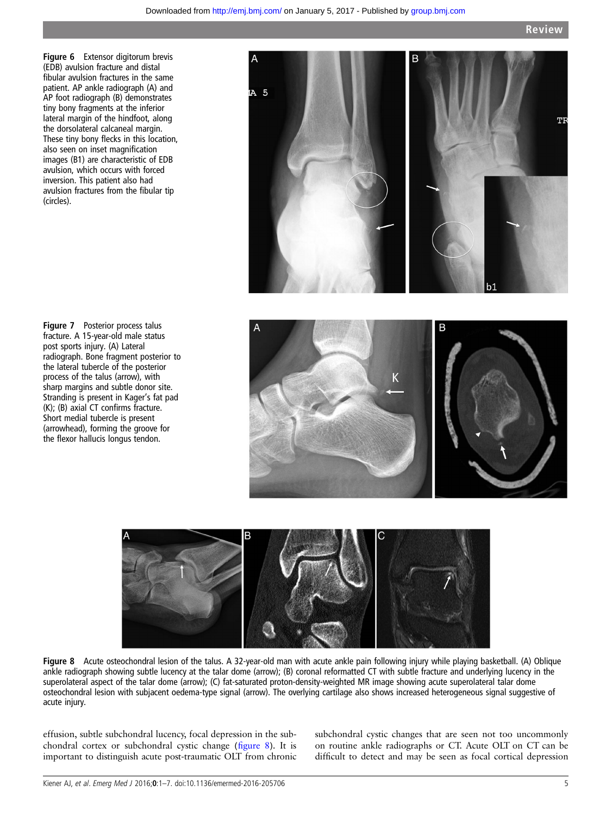<span id="page-4-0"></span>Figure 6 Extensor digitorum brevis (EDB) avulsion fracture and distal fibular avulsion fractures in the same patient. AP ankle radiograph (A) and AP foot radiograph (B) demonstrates tiny bony fragments at the inferior lateral margin of the hindfoot, along the dorsolateral calcaneal margin. These tiny bony flecks in this location, also seen on inset magnification images (B1) are characteristic of EDB avulsion, which occurs with forced inversion. This patient also had avulsion fractures from the fibular tip (circles).

Figure 7 Posterior process talus fracture. A 15-year-old male status post sports injury. (A) Lateral radiograph. Bone fragment posterior to the lateral tubercle of the posterior process of the talus (arrow), with sharp margins and subtle donor site. Stranding is present in Kager's fat pad (K); (B) axial CT confirms fracture. Short medial tubercle is present (arrowhead), forming the groove for the flexor hallucis longus tendon.







Figure 8 Acute osteochondral lesion of the talus. A 32-year-old man with acute ankle pain following injury while playing basketball. (A) Oblique ankle radiograph showing subtle lucency at the talar dome (arrow); (B) coronal reformatted CT with subtle fracture and underlying lucency in the superolateral aspect of the talar dome (arrow); (C) fat-saturated proton-density-weighted MR image showing acute superolateral talar dome osteochondral lesion with subjacent oedema-type signal (arrow). The overlying cartilage also shows increased heterogeneous signal suggestive of acute injury.

effusion, subtle subchondral lucency, focal depression in the subchondral cortex or subchondral cystic change (figure 8). It is important to distinguish acute post-traumatic OLT from chronic subchondral cystic changes that are seen not too uncommonly on routine ankle radiographs or CT. Acute OLT on CT can be difficult to detect and may be seen as focal cortical depression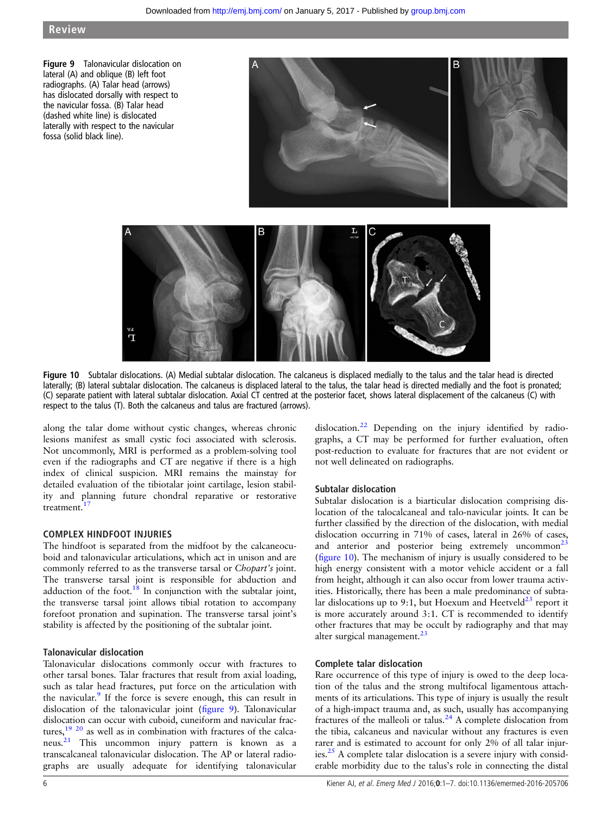

Figure 10 Subtalar dislocations. (A) Medial subtalar dislocation. The calcaneus is displaced medially to the talus and the talar head is directed laterally; (B) lateral subtalar dislocation. The calcaneus is displaced lateral to the talus, the talar head is directed medially and the foot is pronated; (C) separate patient with lateral subtalar dislocation. Axial CT centred at the posterior facet, shows lateral displacement of the calcaneus (C) with respect to the talus (T). Both the calcaneus and talus are fractured (arrows).

along the talar dome without cystic changes, whereas chronic lesions manifest as small cystic foci associated with sclerosis. Not uncommonly, MRI is performed as a problem-solving tool even if the radiographs and CT are negative if there is a high index of clinical suspicion. MRI remains the mainstay for detailed evaluation of the tibiotalar joint cartilage, lesion stability and planning future chondral reparative or restorative treatment.<sup>1</sup>

# COMPLEX HINDFOOT INJURIES

The hindfoot is separated from the midfoot by the calcaneocuboid and talonavicular articulations, which act in unison and are commonly referred to as the transverse tarsal or *Chopart's* joint. The transverse tarsal joint is responsible for abduction and adduction of the foot.<sup>[18](#page-6-0)</sup> In conjunction with the subtalar joint, the transverse tarsal joint allows tibial rotation to accompany forefoot pronation and supination. The transverse tarsal joint's stability is affected by the positioning of the subtalar joint.

#### Talonavicular dislocation

Talonavicular dislocations commonly occur with fractures to other tarsal bones. Talar fractures that result from axial loading, such as talar head fractures, put force on the articulation with the navicular.<sup>[9](#page-6-0)</sup> If the force is severe enough, this can result in dislocation of the talonavicular joint (figure 9). Talonavicular dislocation can occur with cuboid, cuneiform and navicular frac-tures,<sup>[19 20](#page-6-0)</sup> as well as in combination with fractures of the calcaneus.[21](#page-6-0) This uncommon injury pattern is known as a transcalcaneal talonavicular dislocation. The AP or lateral radiographs are usually adequate for identifying talonavicular

dislocation.<sup>[22](#page-6-0)</sup> Depending on the injury identified by radiographs, a CT may be performed for further evaluation, often post-reduction to evaluate for fractures that are not evident or not well delineated on radiographs.

#### Subtalar dislocation

Subtalar dislocation is a biarticular dislocation comprising dislocation of the talocalcaneal and talo-navicular joints. It can be further classified by the direction of the dislocation, with medial dislocation occurring in 71% of cases, lateral in 26% of cases, and anterior and posterior being extremely uncommon<sup>[23](#page-6-0)</sup> (figure 10). The mechanism of injury is usually considered to be high energy consistent with a motor vehicle accident or a fall from height, although it can also occur from lower trauma activities. Historically, there has been a male predominance of subtalar dislocations up to 9:1, but Hoexum and Heetveld<sup>23</sup> report it is more accurately around 3:1. CT is recommended to identify other fractures that may be occult by radiography and that may alter surgical management.<sup>[23](#page-6-0)</sup>

# Complete talar dislocation

Rare occurrence of this type of injury is owed to the deep location of the talus and the strong multifocal ligamentous attachments of its articulations. This type of injury is usually the result of a high-impact trauma and, as such, usually has accompanying fractures of the malleoli or talus.<sup>[24](#page-6-0)</sup> A complete dislocation from the tibia, calcaneus and navicular without any fractures is even rarer and is estimated to account for only 2% of all talar injuries. $25$  A complete talar dislocation is a severe injury with considerable morbidity due to the talus's role in connecting the distal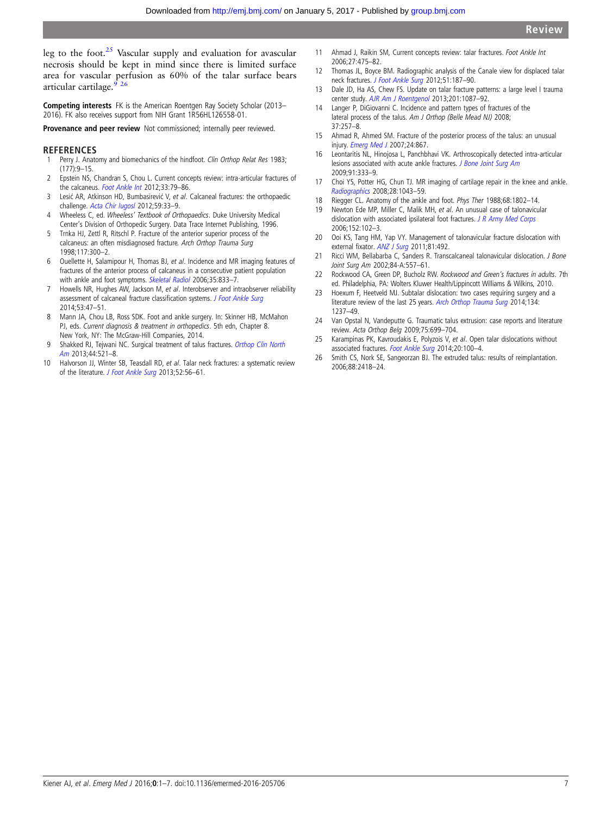<span id="page-6-0"></span>leg to the foot.<sup>25</sup> Vascular supply and evaluation for avascular necrosis should be kept in mind since there is limited surface area for vascular perfusion as 60% of the talar surface bears articular cartilage.<sup>9</sup> 26

Competing interests FK is the American Roentgen Ray Society Scholar (2013– 2016). FK also receives support from NIH Grant 1R56HL126558-01.

Provenance and peer review Not commissioned; internally peer reviewed.

#### REFERENCES

- Perry J. Anatomy and biomechanics of the hindfoot. Clin Orthop Relat Res 1983; (177):9–15.
- 2 Epstein NS, Chandran S, Chou L. Current concepts review: intra-articular fractures of the calcaneus. [Foot Ankle Int](http://dx.doi.org/10.3113/FAI.2012.0079) 2012;33:79–86.
- 3 Lesić AR, Atkinson HD, Bumbasirević V, et al. Calcaneal fractures: the orthopaedic challenge. [Acta Chir Iugosl](http://dx.doi.org/10.2298/ACI1203033L) 2012;59:33-9.
- 4 Wheeless C, ed. Wheeless' Textbook of Orthopaedics. Duke University Medical Center's Division of Orthopedic Surgery. Data Trace Internet Publishing, 1996.
- 5 Trnka HJ, Zettl R, Ritschl P. Fracture of the anterior superior process of the calcaneus: an often misdiagnosed fracture. Arch Orthop Trauma Surg 1998;117:300–2.
- 6 Ouellette H, Salamipour H, Thomas BJ, et al. Incidence and MR imaging features of fractures of the anterior process of calcaneus in a consecutive patient population with ankle and foot symptoms. [Skeletal Radiol](http://dx.doi.org/10.1007/s00256-006-0154-9) 2006;35:833-7.
- 7 Howells NR, Hughes AW, Jackson M, et al. Interobserver and intraobserver reliability assessment of calcaneal fracture classification systems. [J Foot Ankle Surg](http://dx.doi.org/10.1053/j.jfas.2013.06.004) 2014;53:47–51.
- 8 Mann JA, Chou LB, Ross SDK. Foot and ankle surgery. In: Skinner HB, McMahon PJ, eds. Current diagnosis & treatment in orthopedics. 5th edn, Chapter 8. New York, NY: The McGraw-Hill Companies, 2014.
- 9 Shakked RJ, Tejwani NC. Surgical treatment of talus fractures. [Orthop Clin North](http://dx.doi.org/10.1016/j.ocl.2013.06.007) [Am](http://dx.doi.org/10.1016/j.ocl.2013.06.007) 2013;44:521–8.
- 10 Halvorson JJ, Winter SB, Teasdall RD, et al. Talar neck fractures: a systematic review of the literature. [J Foot Ankle Surg](http://dx.doi.org/10.1053/j.jfas.2012.10.008) 2013;52:56–61.
- 11 Ahmad J, Raikin SM, Current concepts review: talar fractures. Foot Ankle Int 2006;27:475–82.
- 12 Thomas JL, Boyce BM. Radiographic analysis of the Canale view for displaced talar neck fractures. [J Foot Ankle Surg](http://dx.doi.org/10.1053/j.jfas.2011.10.037) 2012;51:187-90.
- 13 Dale JD, Ha AS, Chew FS. Update on talar fracture patterns: a large level I trauma center study. [AJR Am J Roentgenol](http://dx.doi.org/10.2214/AJR.12.9918) 2013;201:1087-92.
- 14 Langer P, DiGiovanni C. Incidence and pattern types of fractures of the lateral process of the talus. Am J Orthop (Belle Mead NJ) 2008; 37:257–8.
- 15 Ahmad R, Ahmed SM. Fracture of the posterior process of the talus: an unusual injury. *[Emerg Med](http://dx.doi.org/10.1136/emj.2006.045609) J* 2007:24:867.
- 16 Leontaritis NL, Hinojosa L, Panchbhavi VK. Arthroscopically detected intra-articular lesions associated with acute ankle fractures. [J Bone Joint Surg Am](http://dx.doi.org/10.2106/JBJS.H.00584) 2009;91:333–9.
- 17 Choi YS, Potter HG, Chun TJ. MR imaging of cartilage repair in the knee and ankle. [Radiographics](http://dx.doi.org/10.1148/rg.284075111) 2008;28:1043–59.
- 18 Riegger CL. Anatomy of the ankle and foot. Phys Ther 1988;68:1802–14.
- 19 Newton Ede MP, Miller C, Malik MH, et al. An unusual case of talonavicular dislocation with associated ipsilateral foot fractures.  $J R$  Army Med Corps 2006;152:102–3.
- 20 Ooi KS, Tang HM, Yap VY. Management of talonavicular fracture dislocation with external fixator. [ANZ J Surg](http://dx.doi.org/10.1111/j.1445-2197.2011.05759.x) 2011;81:492.
- 21 Ricci WM, Bellabarba C, Sanders R. Transcalcaneal talonavicular dislocation. J Bone Joint Surg Am 2002;84-A:557–61.
- 22 Rockwood CA, Green DP, Bucholz RW. Rockwood and Green's fractures in adults. 7th ed. Philadelphia, PA: Wolters Kluwer Health/Lippincott Williams & Wilkins, 2010.
- 23 Hoexum F, Heetveld MJ. Subtalar dislocation: two cases requiring surgery and a literature review of the last 25 years. [Arch Orthop Trauma Surg](http://dx.doi.org/10.1007/s00402-014-2040-6) 2014;134: 1237–49.
- 24 Van Opstal N, Vandeputte G. Traumatic talus extrusion: case reports and literature review. Acta Orthop Belg 2009;75:699–704.
- 25 Karampinas PK, Kavroudakis E, Polyzois V, et al. Open talar dislocations without associated fractures. [Foot Ankle Surg](http://dx.doi.org/10.1016/j.fas.2013.12.005) 2014;20:100–4.
- 26 Smith CS, Nork SE, Sangeorzan BJ. The extruded talus: results of reimplantation. 2006;88:2418–24.